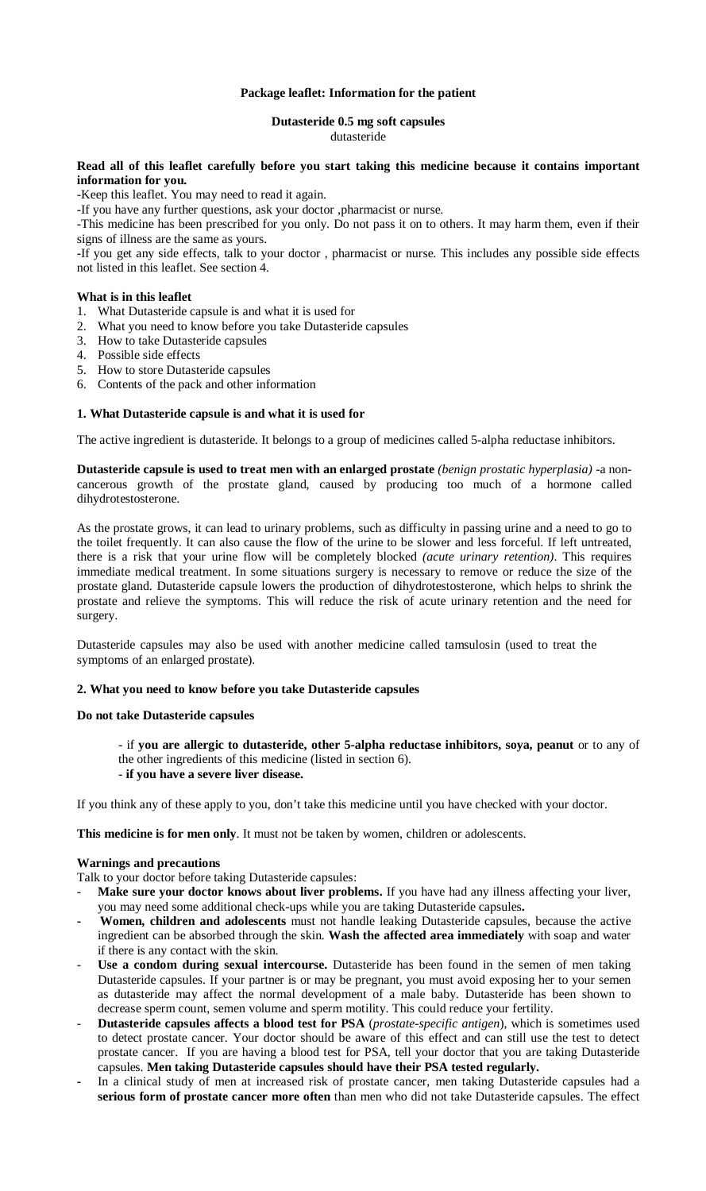### **Package leaflet: Information for the patient**

### **Dutasteride 0.5 mg soft capsules** dutasteride

## **Read all of this leaflet carefully before you start taking this medicine because it contains important information for you.**

-Keep this leaflet. You may need to read it again.

-If you have any further questions, ask your doctor ,pharmacist or nurse.

-This medicine has been prescribed for you only. Do not pass it on to others. It may harm them, even if their signs of illness are the same as yours.

-If you get any side effects, talk to your doctor , pharmacist or nurse. This includes any possible side effects not listed in this leaflet. See section 4.

### **What is in this leaflet**

- 1. What Dutasteride capsule is and what it is used for
- What you need to know before you take Dutasteride capsules 2. What you need to know betore yo 3. How to take Dutasteride capsules
- 
- 4. Possible side effects
- 5. How to store Dutasteride capsules
- 6. Contents of the pack and other information

### **1. What Dutasteride capsule is and what it is used for**

The active ingredient is dutasteride. It belongs to a group of medicines called 5-alpha reductase inhibitors.

**Dutasteride capsule is used to treat men with an enlarged prostate** *(benign prostatic hyperplasia)* -a noncancerous growth of the prostate gland, caused by producing too much of a hormone called dihydrotestosterone.

As the prostate grows, it can lead to urinary problems, such as difficulty in passing urine and a need to go to the toilet frequently. It can also cause the flow of the urine to be slower and less forceful. If left untreated, there is a risk that your urine flow will be completely blocked *(acute urinary retention)*. This requires immediate medical treatment. In some situations surgery is necessary to remove or reduce the size of the prostate gland. Dutasteride capsule lowers the production of dihydrotestosterone, which helps to shrink the prostate and relieve the symptoms. This will reduce the risk of acute urinary retention and the need for surgery.

Dutasteride capsules may also be used with another medicine called tamsulosin (used to treat the symptoms of an enlarged prostate).

### **2. What you need to know before you take Dutasteride capsules**

### **Do not take Dutasteride capsules**

- if **you are allergic to dutasteride, other 5-alpha reductase inhibitors, soya, peanut** or to any of the other ingredients of this medicine (listed in section 6).

## - **if you have a severe liver disease.**

If you think any of these apply to you, don't take this medicine until you have checked with your doctor.

**This medicine is for men only**. It must not be taken by women, children or adolescents.

### **Warnings and precautions**

Talk to your doctor before taking Dutasteride capsules:

- Make sure your doctor knows about liver problems. If you have had any illness affecting your liver, you may need some additional check-ups while you are taking Dutasteride capsules**.**
- **Women, children and adolescents** must not handle leaking Dutasteride capsules, because the active ingredient can be absorbed through the skin. **Wash the affected area immediately** with soap and water if there is any contact with the skin.
- Use a condom during sexual intercourse. Dutasteride has been found in the semen of men taking Dutasteride capsules. If your partner is or may be pregnant, you must avoid exposing her to your semen as dutasteride may affect the normal development of a male baby. Dutasteride has been shown to decrease sperm count, semen volume and sperm motility. This could reduce your fertility.
- **Dutasteride capsules affects a blood test for PSA** (*prostate-specific antigen*), which is sometimes used to detect prostate cancer. Your doctor should be aware of this effect and can still use the test to detect prostate cancer. If you are having a blood test for PSA, tell your doctor that you are taking Dutasteride capsules. **Men taking Dutasteride capsules should have their PSA tested regularly.**
- **-** In a clinical study of men at increased risk of prostate cancer, men taking Dutasteride capsules had a **serious form of prostate cancer more often** than men who did not take Dutasteride capsules. The effect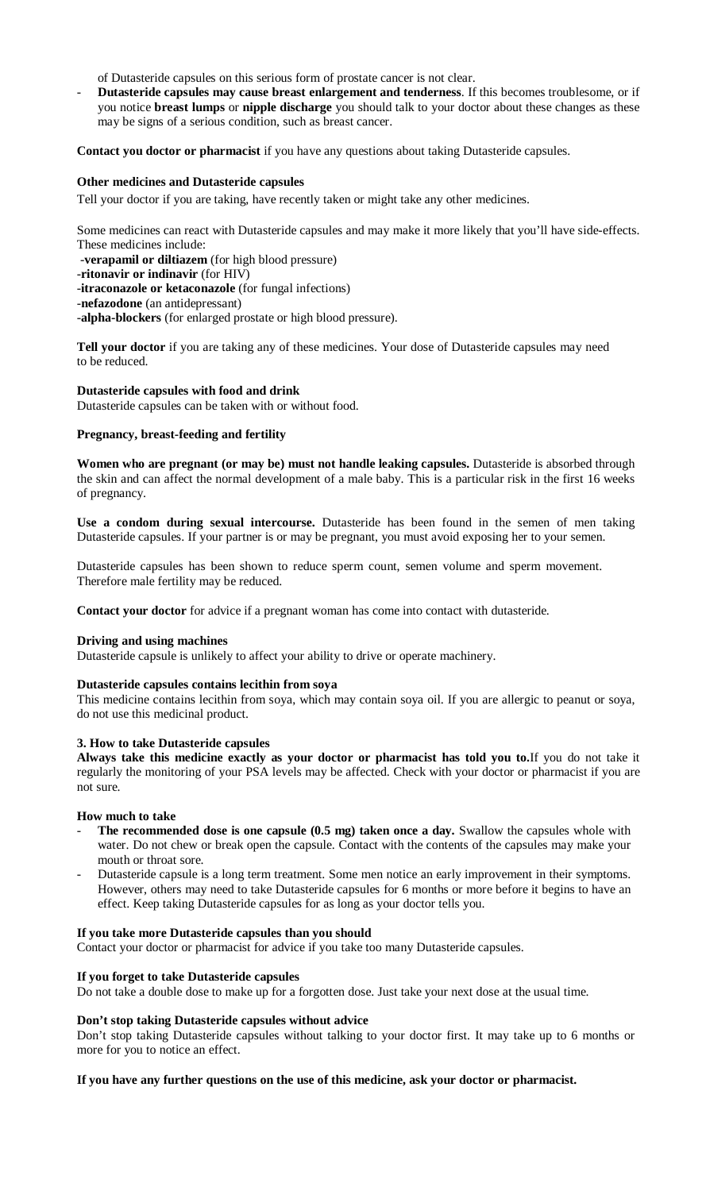of Dutasteride capsules on this serious form of prostate cancer is not clear.

- **Dutasteride capsules may cause breast enlargement and tenderness**. If this becomes troublesome, or if you notice **breast lumps** or **nipple discharge** you should talk to your doctor about these changes as these may be signs of a serious condition, such as breast cancer.

**Contact you doctor or pharmacist** if you have any questions about taking Dutasteride capsules.

### **Other medicines and Dutasteride capsules**

Tell your doctor if you are taking, have recently taken or might take any other medicines.

Some medicines can react with Dutasteride capsules and may make it more likely that you'll have side-effects. These medicines include:

-**verapamil or diltiazem** (for high blood pressure)

-**ritonavir or indinavir** (for HIV)

-**itraconazole or ketaconazole** (for fungal infections)

-**nefazodone** (an antidepressant)

-**alpha-blockers** (for enlarged prostate or high blood pressure).

**Tell your doctor** if you are taking any of these medicines. Your dose of Dutasteride capsules may need to be reduced.

**Dutasteride capsules with food and drink** Dutasteride capsules can be taken with or without food.

## **Pregnancy, breast-feeding and fertility**

**Women who are pregnant (or may be) must not handle leaking capsules.** Dutasteride is absorbed through the skin and can affect the normal development of a male baby. This is a particular risk in the first 16 weeks of pregnancy.

**Use a condom during sexual intercourse.** Dutasteride has been found in the semen of men taking Dutasteride capsules. If your partner is or may be pregnant, you must avoid exposing her to your semen.

Dutasteride capsules has been shown to reduce sperm count, semen volume and sperm movement. Therefore male fertility may be reduced.

**Contact your doctor** for advice if a pregnant woman has come into contact with dutasteride.

### **Driving and using machines**

Dutasteride capsule is unlikely to affect your ability to drive or operate machinery.

### **Dutasteride capsules contains lecithin from soya**

This medicine contains lecithin from soya, which may contain soya oil. If you are allergic to peanut or soya, do not use this medicinal product.

### **3. How to take Dutasteride capsules**

**Always take this medicine exactly as your doctor or pharmacist has told you to.**If you do not take it regularly the monitoring of your PSA levels may be affected. Check with your doctor or pharmacist if you are not sure.

### **How much to take**

- The recommended dose is one capsule (0.5 mg) taken once a day. Swallow the capsules whole with water. Do not chew or break open the capsule. Contact with the contents of the capsules may make your mouth or throat sore.
- Dutasteride capsule is a long term treatment. Some men notice an early improvement in their symptoms. However, others may need to take Dutasteride capsules for 6 months or more before it begins to have an effect. Keep taking Dutasteride capsules for as long as your doctor tells you.

## **If you take more Dutasteride capsules than you should**

Contact your doctor or pharmacist for advice if you take too many Dutasteride capsules.

## **If you forget to take Dutasteride capsules**

Do not take a double dose to make up for a forgotten dose. Just take your next dose at the usual time.

## **Don't stop taking Dutasteride capsules without advice**

Don't stop taking Dutasteride capsules without talking to your doctor first. It may take up to 6 months or more for you to notice an effect.

## **If you have any further questions on the use of this medicine, ask your doctor or pharmacist.**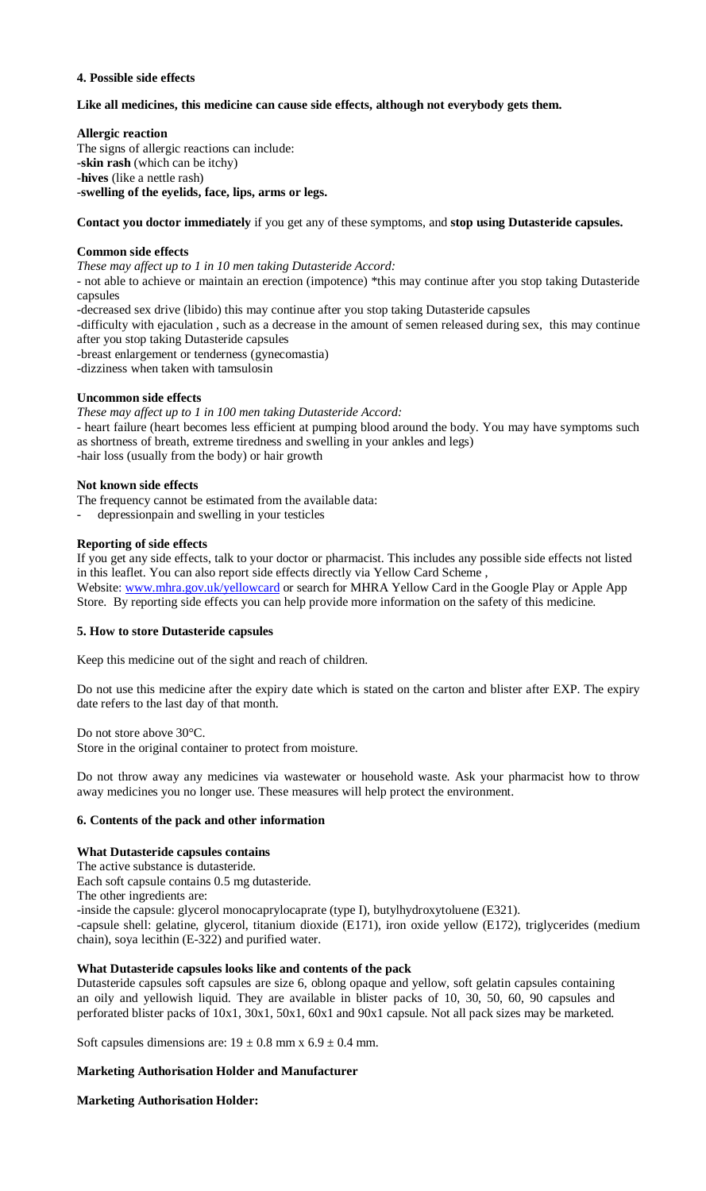### **4. Possible side effects**

### **Like all medicines, this medicine can cause side effects, although not everybody gets them.**

**Allergic reaction** 

The signs of allergic reactions can include: -**skin rash** (which can be itchy) -**hives** (like a nettle rash) -**swelling of the eyelids, face, lips, arms or legs.** 

**Contact you doctor immediately** if you get any of these symptoms, and **stop using Dutasteride capsules.**

### **Common side effects**

*These may affect up to 1 in 10 men taking Dutasteride Accord:*

- not able to achieve or maintain an erection (impotence) \*this may continue after you stop taking Dutasteride capsules

-decreased sex drive (libido) this may continue after you stop taking Dutasteride capsules

-difficulty with ejaculation , such as a decrease in the amount of semen released during sex, this may continue after you stop taking Dutasteride capsules

-breast enlargement or tenderness (gynecomastia)

-dizziness when taken with tamsulosin

### **Uncommon side effects**

*These may affect up to 1 in 100 men taking Dutasteride Accord:*

- heart failure (heart becomes less efficient at pumping blood around the body. You may have symptoms such as shortness of breath, extreme tiredness and swelling in your ankles and legs) -hair loss (usually from the body) or hair growth

### **Not known side effects**

The frequency cannot be estimated from the available data:

- depressionpain and swelling in your testicles

#### **Reporting of side effects**

If you get any side effects, talk to your doctor or pharmacist. This includes any possible side effects not listed in this leaflet. You can also report side effects directly via Yellow Card Scheme , Website: www.mhra.gov.uk/yellowcard or search for MHRA Yellow Card in the Google Play or Apple App Store. By reporting side effects you can help provide more information on the safety of this medicine.

### **5. How to store Dutasteride capsules**

Keep this medicine out of the sight and reach of children.

Do not use this medicine after the expiry date which is stated on the carton and blister after EXP. The expiry date refers to the last day of that month.

Do not store above 30°C.

Store in the original container to protect from moisture.

Do not throw away any medicines via wastewater or household waste. Ask your pharmacist how to throw away medicines you no longer use. These measures will help protect the environment.

### **6. Contents of the pack and other information**

### **What Dutasteride capsules contains**

The active substance is dutasteride.

Each soft capsule contains 0.5 mg dutasteride.

The other ingredients are:

-inside the capsule: glycerol monocaprylocaprate (type I), butylhydroxytoluene (E321).

-capsule shell: gelatine, glycerol, titanium dioxide (E171), iron oxide yellow (E172), triglycerides (medium chain), soya lecithin (E-322) and purified water.

### **What Dutasteride capsules looks like and contents of the pack**

Dutasteride capsules soft capsules are size 6, oblong opaque and yellow, soft gelatin capsules containing an oily and yellowish liquid. They are available in blister packs of 10, 30, 50, 60, 90 capsules and perforated blister packs of 10x1, 30x1, 50x1, 60x1 and 90x1 capsule. Not all pack sizes may be marketed.

Soft capsules dimensions are:  $19 \pm 0.8$  mm x  $6.9 \pm 0.4$  mm.

## **Marketing Authorisation Holder and Manufacturer**

**Marketing Authorisation Holder:**